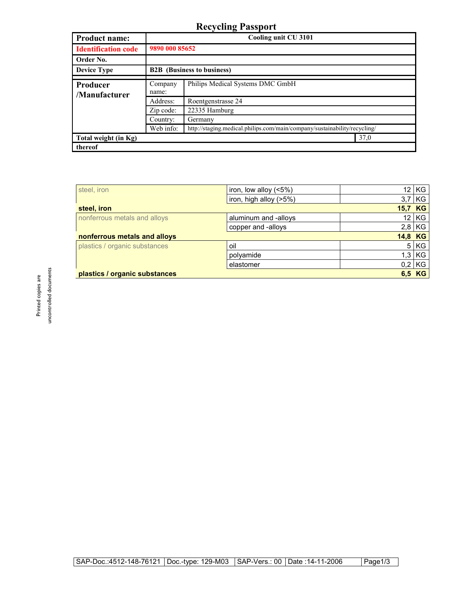## **Recycling Passport**

| <b>Product name:</b>       | Cooling unit CU 3101<br>9890 000 85652 |                                                                           |  |
|----------------------------|----------------------------------------|---------------------------------------------------------------------------|--|
| <b>Identification code</b> |                                        |                                                                           |  |
| Order No.                  |                                        |                                                                           |  |
| <b>Device Type</b>         | <b>B2B</b> (Business to business)      |                                                                           |  |
| Producer                   | Company                                | Philips Medical Systems DMC GmbH                                          |  |
| /Manufacturer              | name:<br>Address:                      | Roentgenstrasse 24                                                        |  |
|                            | Zip code:                              | 22335 Hamburg                                                             |  |
|                            | Country:                               | Germany                                                                   |  |
|                            | Web info:                              | http://staging.medical.philips.com/main/company/sustainability/recycling/ |  |
| Total weight (in Kg)       |                                        | 37,0                                                                      |  |
| thereof                    |                                        |                                                                           |  |

| steel, iron                   | iron, low alloy $(5%)$ | 12.             | KG       |
|-------------------------------|------------------------|-----------------|----------|
|                               | iron, high alloy (>5%) | 3,7             | KG       |
| steel, iron                   |                        | 15,7 KG         |          |
| nonferrous metals and alloys  | aluminum and -alloys   | 12 <sub>1</sub> | KG       |
|                               | copper and -alloys     |                 | $2,8$ KG |
| nonferrous metals and alloys  |                        | 14,8 KG         |          |
| plastics / organic substances | oil                    | 5               | KG       |
|                               | polyamide              | 1,3             | KG       |
|                               | elastomer              |                 | $0,2$ KG |
| plastics / organic substances |                        |                 | 6,5 KG   |

uncontrolled documents uncontrolled documents Printed copies are Printed copies are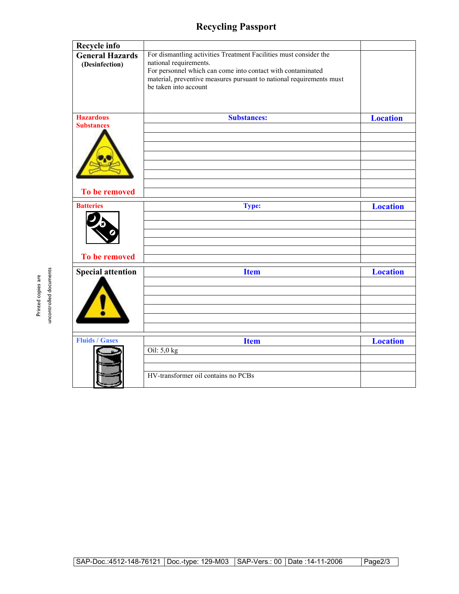## **Recycling Passport**

| <b>Recycle info</b>                      |                                                                                                                                                                                                                                                             |                 |
|------------------------------------------|-------------------------------------------------------------------------------------------------------------------------------------------------------------------------------------------------------------------------------------------------------------|-----------------|
| <b>General Hazards</b><br>(Desinfection) | For dismantling activities Treatment Facilities must consider the<br>national requirements.<br>For personnel which can come into contact with contaminated<br>material, preventive measures pursuant to national requirements must<br>be taken into account |                 |
| <b>Hazardous</b>                         | <b>Substances:</b>                                                                                                                                                                                                                                          | <b>Location</b> |
| <b>Substances</b>                        |                                                                                                                                                                                                                                                             |                 |
| To be removed                            |                                                                                                                                                                                                                                                             |                 |
| <b>Batteries</b>                         | <b>Type:</b>                                                                                                                                                                                                                                                | <b>Location</b> |
|                                          |                                                                                                                                                                                                                                                             |                 |
|                                          |                                                                                                                                                                                                                                                             |                 |
|                                          |                                                                                                                                                                                                                                                             |                 |
|                                          |                                                                                                                                                                                                                                                             |                 |
| To be removed                            |                                                                                                                                                                                                                                                             |                 |
| <b>Special attention</b>                 | <b>Item</b>                                                                                                                                                                                                                                                 | <b>Location</b> |
|                                          |                                                                                                                                                                                                                                                             |                 |
|                                          |                                                                                                                                                                                                                                                             |                 |
|                                          |                                                                                                                                                                                                                                                             |                 |
|                                          |                                                                                                                                                                                                                                                             |                 |
|                                          |                                                                                                                                                                                                                                                             |                 |
| <b>Fluids / Gases</b>                    | <b>Item</b>                                                                                                                                                                                                                                                 | <b>Location</b> |
|                                          | Oil: 5,0 kg                                                                                                                                                                                                                                                 |                 |
|                                          |                                                                                                                                                                                                                                                             |                 |
|                                          | HV-transformer oil contains no PCBs                                                                                                                                                                                                                         |                 |

uncontrolled documents uncontrolled documents Printed copies are Printed copies are